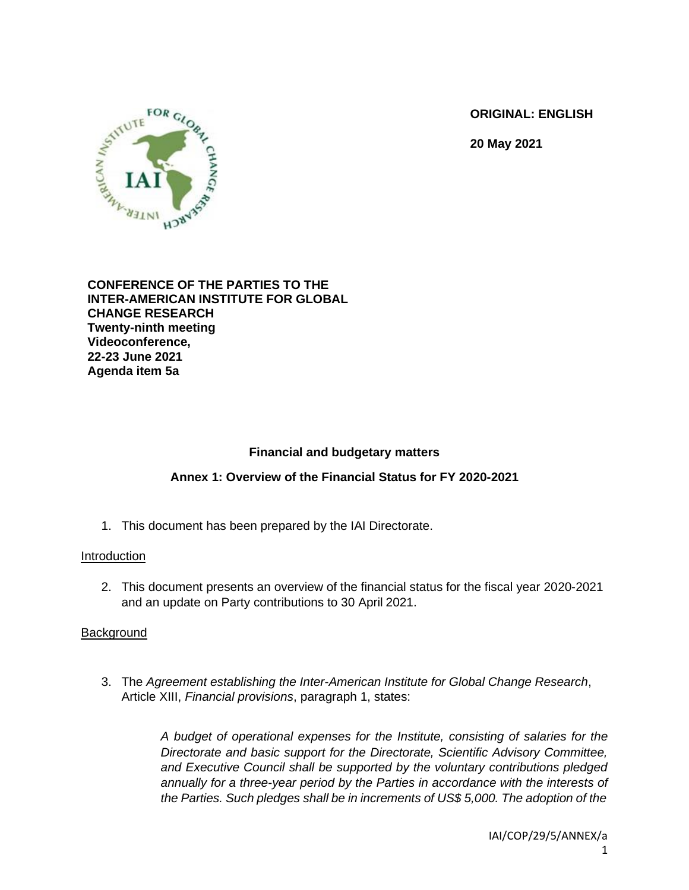**ORIGINAL: ENGLISH** 

**20 May 2021**



#### **CONFERENCE OF THE PARTIES TO THE INTER-AMERICAN INSTITUTE FOR GLOBAL CHANGE RESEARCH Twenty-ninth meeting Videoconference, 22-23 June 2021 Agenda item 5a**

# **Financial and budgetary matters**

## **Annex 1: Overview of the Financial Status for FY 2020-2021**

1. This document has been prepared by the IAI Directorate.

## Introduction

2. This document presents an overview of the financial status for the fiscal year 2020-2021 and an update on Party contributions to 30 April 2021.

## **Background**

3. The *Agreement establishing the Inter-American Institute for Global Change Research*, Article XIII, *Financial provisions*, paragraph 1, states:

> *A budget of operational expenses for the Institute, consisting of salaries for the Directorate and basic support for the Directorate, Scientific Advisory Committee, and Executive Council shall be supported by the voluntary contributions pledged annually for a three-year period by the Parties in accordance with the interests of the Parties. Such pledges shall be in increments of US\$ 5,000. The adoption of the*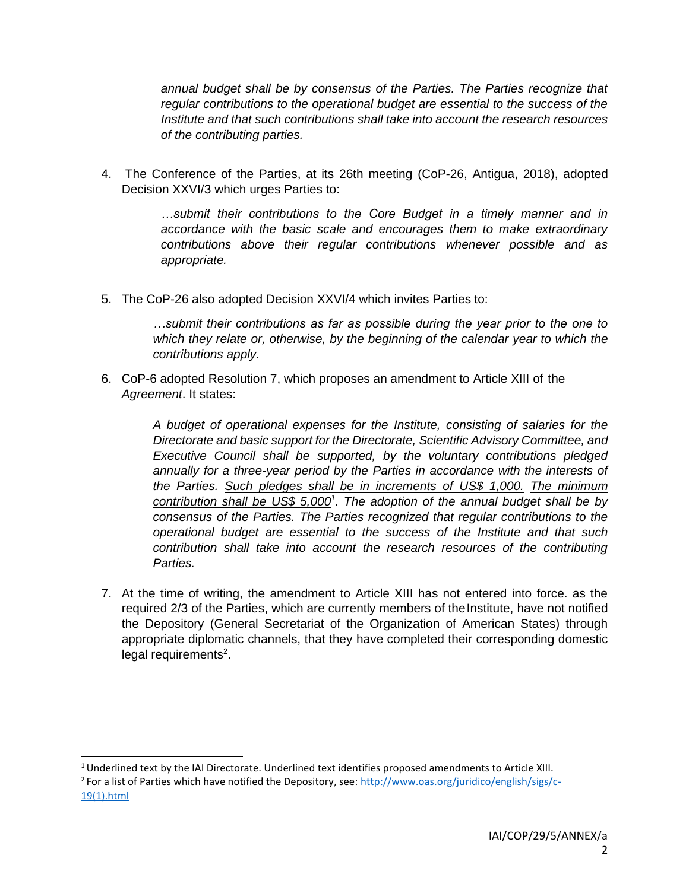*annual budget shall be by consensus of the Parties. The Parties recognize that regular contributions to the operational budget are essential to the success of the Institute and that such contributions shall take into account the research resources of the contributing parties.*

4. The Conference of the Parties, at its 26th meeting (CoP-26, Antigua, 2018), adopted Decision XXVI/3 which urges Parties to:

> *…submit their contributions to the Core Budget in a timely manner and in accordance with the basic scale and encourages them to make extraordinary contributions above their regular contributions whenever possible and as appropriate.*

5. The CoP-26 also adopted Decision XXVI/4 which invites Parties to:

*…submit their contributions as far as possible during the year prior to the one to which they relate or, otherwise, by the beginning of the calendar year to which the contributions apply.*

6. CoP-6 adopted Resolution 7, which proposes an amendment to Article XIII of the *Agreement*. It states:

> *A budget of operational expenses for the Institute, consisting of salaries for the Directorate and basic support for the Directorate, Scientific Advisory Committee, and Executive Council shall be supported, by the voluntary contributions pledged annually for a three-year period by the Parties in accordance with the interests of the Parties. Such pledges shall be in increments of US\$ 1,000. The minimum contribution shall be US\$ 5,000<sup>1</sup> . The adoption of the annual budget shall be by consensus of the Parties. The Parties recognized that regular contributions to the operational budget are essential to the success of the Institute and that such contribution shall take into account the research resources of the contributing Parties.*

7. At the time of writing, the amendment to Article XIII has not entered into force. as the required 2/3 of the Parties, which are currently members of the Institute, have not notified the Depository (General Secretariat of the Organization of American States) through appropriate diplomatic channels, that they have completed their corresponding domestic legal requirements<sup>2</sup>.

 $1$ Underlined text by the IAI Directorate. Underlined text identifies proposed amendments to Article XIII.

<sup>&</sup>lt;sup>2</sup> For a list of Parties which have notified the Depository, see[: http://www.oas.org/juridico/english/sigs/c-](http://www.oas.org/juridico/english/sigs/c-19(1).html)[19\(1\).html](http://www.oas.org/juridico/english/sigs/c-19(1).html)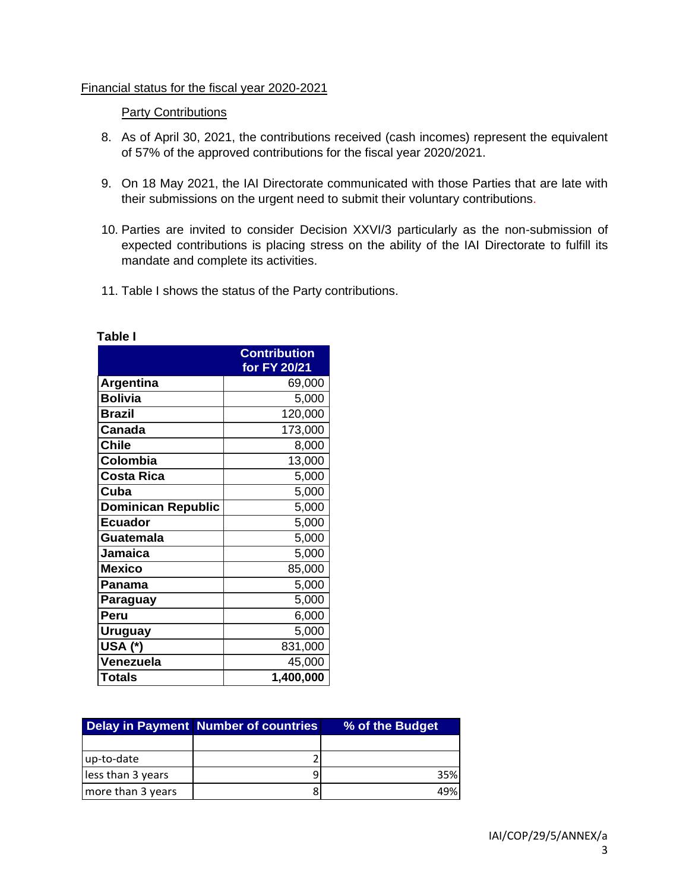#### Financial status for the fiscal year 2020-2021

#### **Party Contributions**

- 8. As of April 30, 2021, the contributions received (cash incomes) represent the equivalent of 57% of the approved contributions for the fiscal year 2020/2021.
- 9. On 18 May 2021, the IAI Directorate communicated with those Parties that are late with their submissions on the urgent need to submit their voluntary contributions.
- 10. Parties are invited to consider Decision XXVI/3 particularly as the non-submission of expected contributions is placing stress on the ability of the IAI Directorate to fulfill its mandate and complete its activities.
- 11. Table I shows the status of the Party contributions.

|                           | <b>Contribution</b><br>for FY 20/21 |
|---------------------------|-------------------------------------|
| <b>Argentina</b>          | 69,000                              |
| <b>Bolivia</b>            | 5,000                               |
| <b>Brazil</b>             | 120,000                             |
| Canada                    | 173,000                             |
| <b>Chile</b>              | 8,000                               |
| Colombia                  | 13,000                              |
| <b>Costa Rica</b>         | 5,000                               |
| Cuba                      | 5,000                               |
| <b>Dominican Republic</b> | 5,000                               |
| <b>Ecuador</b>            | 5,000                               |
| Guatemala                 | 5,000                               |
| <b>Jamaica</b>            | 5,000                               |
| <b>Mexico</b>             | 85,000                              |
| Panama                    | 5,000                               |
| Paraguay                  | 5,000                               |
| Peru                      | 6,000                               |
| Uruguay                   | 5,000                               |
| USA (*)                   | 831,000                             |
| Venezuela                 | 45,000                              |
| <b>Totals</b>             | 1,400,000                           |

|                   | Delay in Payment Number of countries | % of the Budget |  |  |
|-------------------|--------------------------------------|-----------------|--|--|
|                   |                                      |                 |  |  |
| up-to-date        |                                      |                 |  |  |
| less than 3 years |                                      | 35%             |  |  |
| more than 3 years |                                      | 49%             |  |  |

#### **Table I**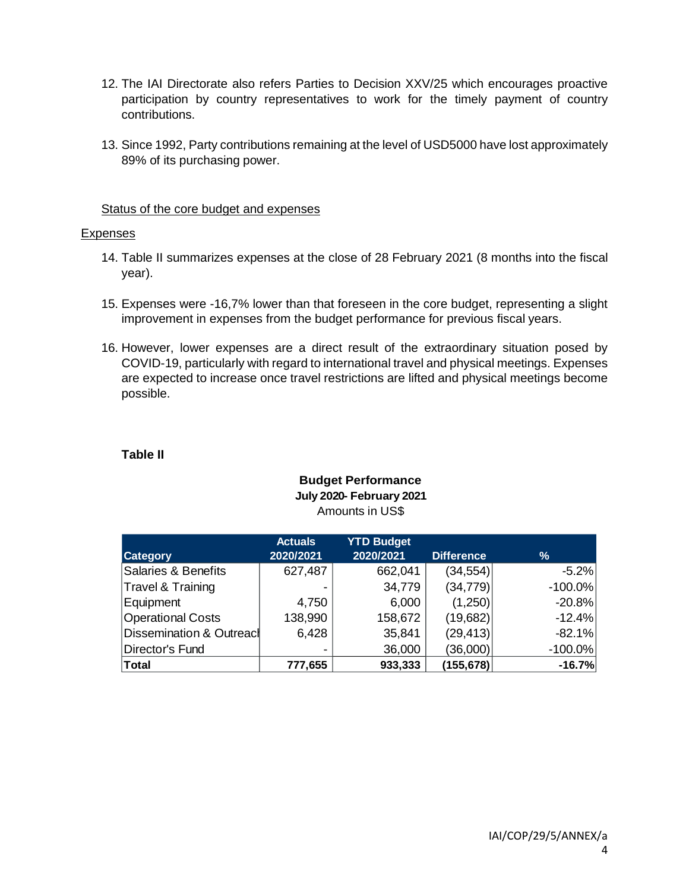- 12. The IAI Directorate also refers Parties to Decision XXV/25 which encourages proactive participation by country representatives to work for the timely payment of country contributions.
- 13. Since 1992, Party contributions remaining at the level of USD5000 have lost approximately 89% of its purchasing power.

#### Status of the core budget and expenses

#### Expenses

- 14. Table II summarizes expenses at the close of 28 February 2021 (8 months into the fiscal year).
- 15. Expenses were -16,7% lower than that foreseen in the core budget, representing a slight improvement in expenses from the budget performance for previous fiscal years.
- 16. However, lower expenses are a direct result of the extraordinary situation posed by COVID-19, particularly with regard to international travel and physical meetings. Expenses are expected to increase once travel restrictions are lifted and physical meetings become possible.

## **Table II**

#### **Budget Performance July 2020- February 2021** Amounts in US\$

|                          | <b>Actuals</b>           | <b>YTD Budget</b> |                   |            |
|--------------------------|--------------------------|-------------------|-------------------|------------|
| <b>Category</b>          | 2020/2021                | 2020/2021         | <b>Difference</b> | %          |
| Salaries & Benefits      | 627,487                  | 662,041           | (34, 554)         | $-5.2%$    |
| Travel & Training        |                          | 34,779            | (34, 779)         | $-100.0\%$ |
| Equipment                | 4,750                    | 6,000             | (1,250)           | $-20.8%$   |
| <b>Operational Costs</b> | 138,990                  | 158,672           | (19,682)          | $-12.4%$   |
| Dissemination & Outreacl | 6,428                    | 35,841            | (29, 413)         | $-82.1%$   |
| Director's Fund          | $\overline{\phantom{0}}$ | 36,000            | (36,000)          | $-100.0\%$ |
| Total                    | 777,655                  | 933,333           | (155, 678)        | $-16.7%$   |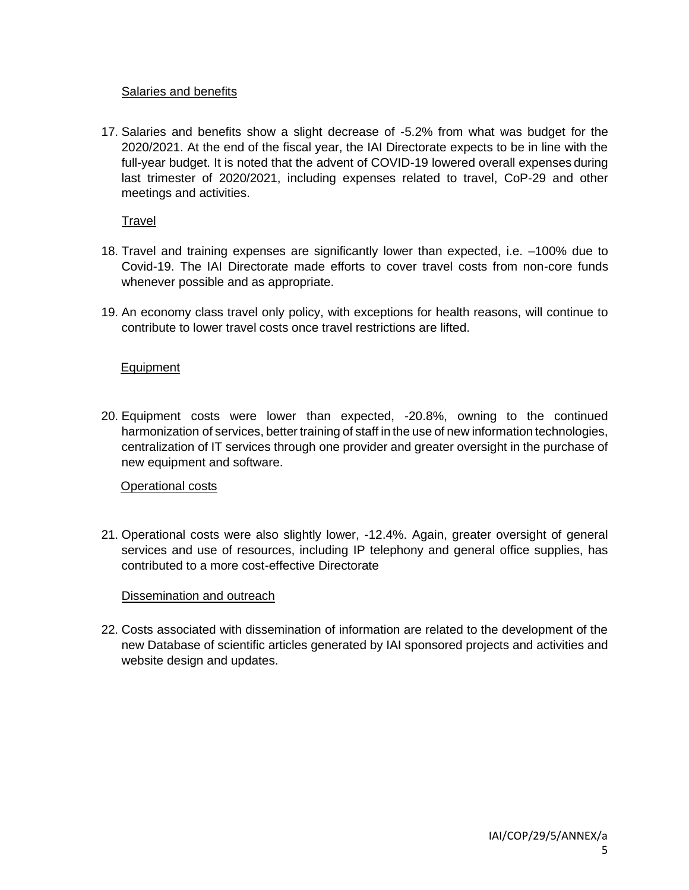## Salaries and benefits

17. Salaries and benefits show a slight decrease of -5.2% from what was budget for the 2020/2021. At the end of the fiscal year, the IAI Directorate expects to be in line with the full-year budget. It is noted that the advent of COVID-19 lowered overall expenses during last trimester of 2020/2021, including expenses related to travel, CoP-29 and other meetings and activities.

Travel

- 18. Travel and training expenses are significantly lower than expected, i.e. –100% due to Covid-19. The IAI Directorate made efforts to cover travel costs from non-core funds whenever possible and as appropriate.
- 19. An economy class travel only policy, with exceptions for health reasons, will continue to contribute to lower travel costs once travel restrictions are lifted.

# Equipment

20. Equipment costs were lower than expected, -20.8%, owning to the continued harmonization of services, better training of staff in the use of new information technologies, centralization of IT services through one provider and greater oversight in the purchase of new equipment and software.

## Operational costs

21. Operational costs were also slightly lower, -12.4%. Again, greater oversight of general services and use of resources, including IP telephony and general office supplies, has contributed to a more cost-effective Directorate

## Dissemination and outreach

22. Costs associated with dissemination of information are related to the development of the new Database of scientific articles generated by IAI sponsored projects and activities and website design and updates.